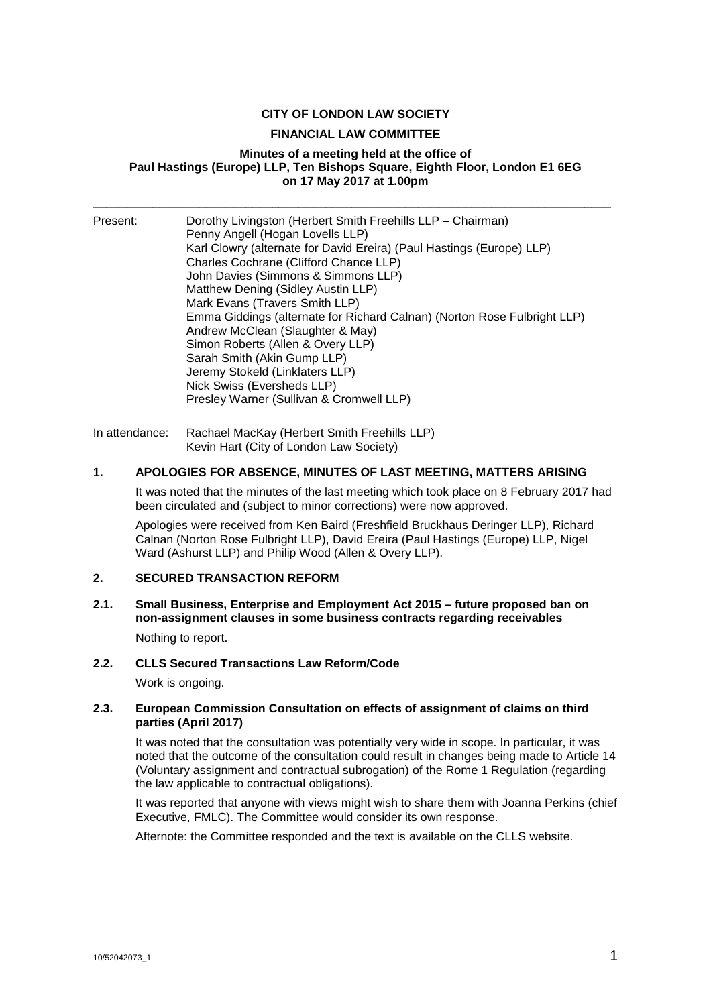## **CITY OF LONDON LAW SOCIETY**

#### **FINANCIAL LAW COMMITTEE**

## **Minutes of a meeting held at the office of Paul Hastings (Europe) LLP, Ten Bishops Square, Eighth Floor, London E1 6EG on 17 May 2017 at 1.00pm**

\_\_\_\_\_\_\_\_\_\_\_\_\_\_\_\_\_\_\_\_\_\_\_\_\_\_\_\_\_\_\_\_\_\_\_\_\_\_\_\_\_\_\_\_\_\_\_\_\_\_\_\_\_\_\_\_\_\_\_\_\_\_\_\_\_\_\_\_\_\_\_\_\_\_\_\_\_\_

| Present: | Dorothy Livingston (Herbert Smith Freehills LLP - Chairman)<br>Penny Angell (Hogan Lovells LLP)<br>Karl Clowry (alternate for David Ereira) (Paul Hastings (Europe) LLP)<br>Charles Cochrane (Clifford Chance LLP)<br>John Davies (Simmons & Simmons LLP)<br>Matthew Dening (Sidley Austin LLP)<br>Mark Evans (Travers Smith LLP)<br>Emma Giddings (alternate for Richard Calnan) (Norton Rose Fulbright LLP)<br>Andrew McClean (Slaughter & May)<br>Simon Roberts (Allen & Overy LLP)<br>Sarah Smith (Akin Gump LLP)<br>Jeremy Stokeld (Linklaters LLP)<br>Nick Swiss (Eversheds LLP)<br>Presley Warner (Sullivan & Cromwell LLP) |
|----------|------------------------------------------------------------------------------------------------------------------------------------------------------------------------------------------------------------------------------------------------------------------------------------------------------------------------------------------------------------------------------------------------------------------------------------------------------------------------------------------------------------------------------------------------------------------------------------------------------------------------------------|
|----------|------------------------------------------------------------------------------------------------------------------------------------------------------------------------------------------------------------------------------------------------------------------------------------------------------------------------------------------------------------------------------------------------------------------------------------------------------------------------------------------------------------------------------------------------------------------------------------------------------------------------------------|

In attendance: Rachael MacKay (Herbert Smith Freehills LLP) Kevin Hart (City of London Law Society)

#### **1. APOLOGIES FOR ABSENCE, MINUTES OF LAST MEETING, MATTERS ARISING**

It was noted that the minutes of the last meeting which took place on 8 February 2017 had been circulated and (subject to minor corrections) were now approved.

Apologies were received from Ken Baird (Freshfield Bruckhaus Deringer LLP), Richard Calnan (Norton Rose Fulbright LLP), David Ereira (Paul Hastings (Europe) LLP, Nigel Ward (Ashurst LLP) and Philip Wood (Allen & Overy LLP).

#### **2. SECURED TRANSACTION REFORM**

**2.1. Small Business, Enterprise and Employment Act 2015 – future proposed ban on non-assignment clauses in some business contracts regarding receivables** Nothing to report.

#### **2.2. CLLS Secured Transactions Law Reform/Code**

Work is ongoing.

#### **2.3. European Commission Consultation on effects of assignment of claims on third parties (April 2017)**

It was noted that the consultation was potentially very wide in scope. In particular, it was noted that the outcome of the consultation could result in changes being made to Article 14 (Voluntary assignment and contractual subrogation) of the Rome 1 Regulation (regarding the law applicable to contractual obligations).

It was reported that anyone with views might wish to share them with Joanna Perkins (chief Executive, FMLC). The Committee would consider its own response.

Afternote: the Committee responded and the text is available on the CLLS website.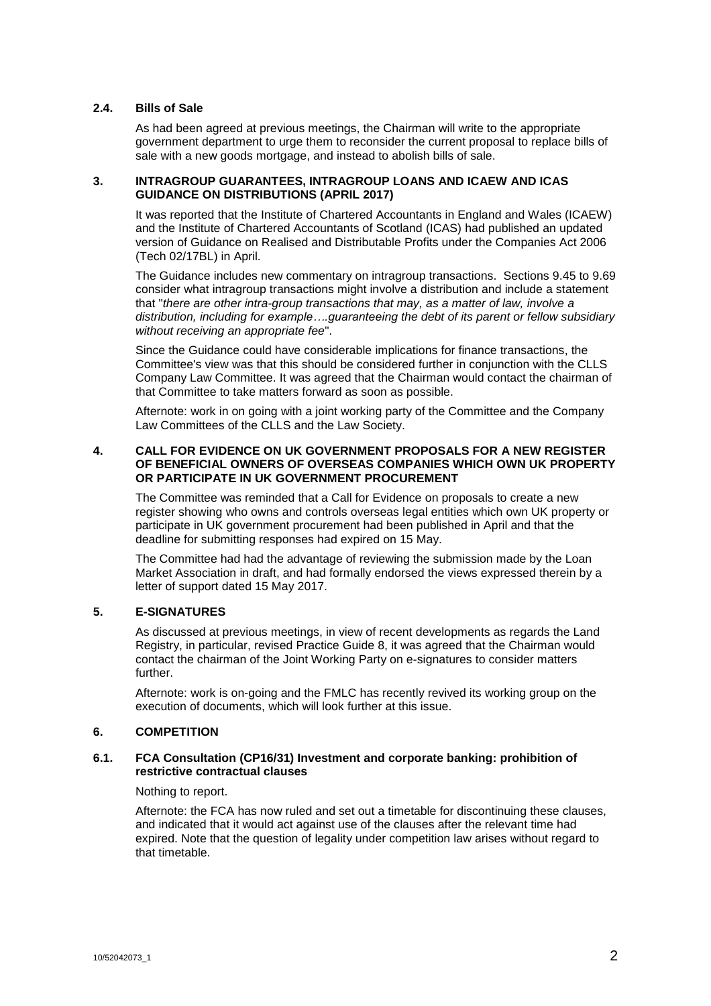## **2.4. Bills of Sale**

As had been agreed at previous meetings, the Chairman will write to the appropriate government department to urge them to reconsider the current proposal to replace bills of sale with a new goods mortgage, and instead to abolish bills of sale.

## **3. INTRAGROUP GUARANTEES, INTRAGROUP LOANS AND ICAEW AND ICAS GUIDANCE ON DISTRIBUTIONS (APRIL 2017)**

It was reported that the Institute of Chartered Accountants in England and Wales (ICAEW) and the Institute of Chartered Accountants of Scotland (ICAS) had published an updated version of Guidance on Realised and Distributable Profits under the Companies Act 2006 (Tech 02/17BL) in April.

The Guidance includes new commentary on intragroup transactions. Sections 9.45 to 9.69 consider what intragroup transactions might involve a distribution and include a statement that "*there are other intra-group transactions that may, as a matter of law, involve a distribution, including for example….guaranteeing the debt of its parent or fellow subsidiary without receiving an appropriate fee*".

Since the Guidance could have considerable implications for finance transactions, the Committee's view was that this should be considered further in conjunction with the CLLS Company Law Committee. It was agreed that the Chairman would contact the chairman of that Committee to take matters forward as soon as possible.

Afternote: work in on going with a joint working party of the Committee and the Company Law Committees of the CLLS and the Law Society.

#### **4. CALL FOR EVIDENCE ON UK GOVERNMENT PROPOSALS FOR A NEW REGISTER OF BENEFICIAL OWNERS OF OVERSEAS COMPANIES WHICH OWN UK PROPERTY OR PARTICIPATE IN UK GOVERNMENT PROCUREMENT**

The Committee was reminded that a Call for Evidence on proposals to create a new register showing who owns and controls overseas legal entities which own UK property or participate in UK government procurement had been published in April and that the deadline for submitting responses had expired on 15 May.

The Committee had had the advantage of reviewing the submission made by the Loan Market Association in draft, and had formally endorsed the views expressed therein by a letter of support dated 15 May 2017.

# **5. E-SIGNATURES**

As discussed at previous meetings, in view of recent developments as regards the Land Registry, in particular, revised Practice Guide 8, it was agreed that the Chairman would contact the chairman of the Joint Working Party on e-signatures to consider matters further.

Afternote: work is on-going and the FMLC has recently revived its working group on the execution of documents, which will look further at this issue.

## **6. COMPETITION**

#### **6.1. FCA Consultation (CP16/31) Investment and corporate banking: prohibition of restrictive contractual clauses**

Nothing to report.

Afternote: the FCA has now ruled and set out a timetable for discontinuing these clauses, and indicated that it would act against use of the clauses after the relevant time had expired. Note that the question of legality under competition law arises without regard to that timetable.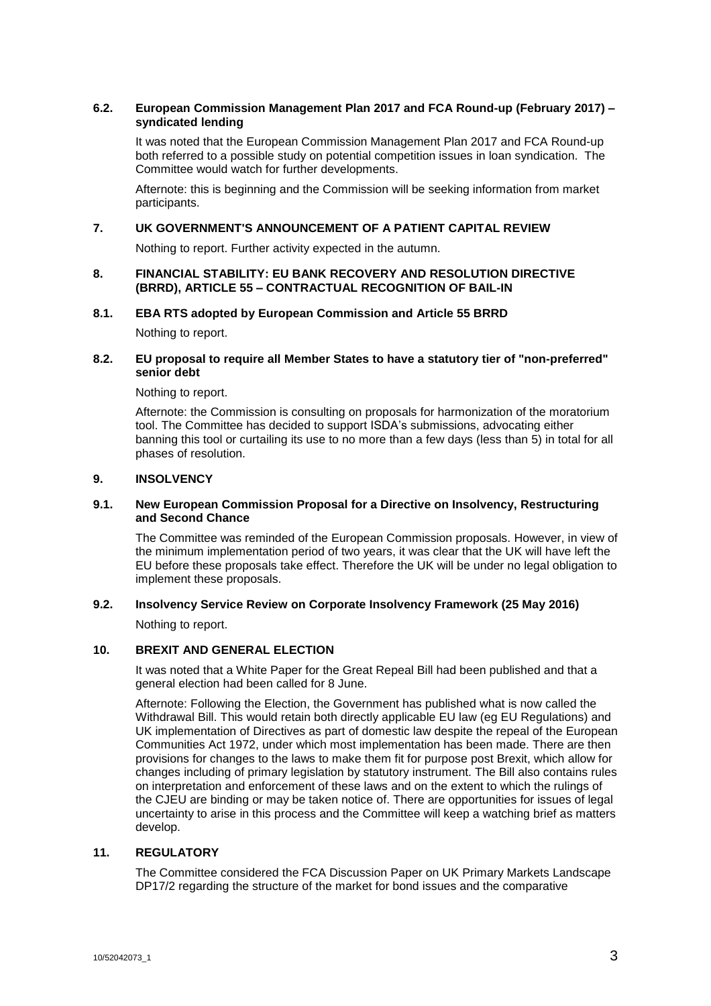## **6.2. European Commission Management Plan 2017 and FCA Round-up (February 2017) – syndicated lending**

It was noted that the European Commission Management Plan 2017 and FCA Round-up both referred to a possible study on potential competition issues in loan syndication. The Committee would watch for further developments.

Afternote: this is beginning and the Commission will be seeking information from market participants.

## **7. UK GOVERNMENT'S ANNOUNCEMENT OF A PATIENT CAPITAL REVIEW**

Nothing to report. Further activity expected in the autumn.

## **8. FINANCIAL STABILITY: EU BANK RECOVERY AND RESOLUTION DIRECTIVE (BRRD), ARTICLE 55 – CONTRACTUAL RECOGNITION OF BAIL-IN**

#### **8.1. EBA RTS adopted by European Commission and Article 55 BRRD**

Nothing to report.

## **8.2. EU proposal to require all Member States to have a statutory tier of "non-preferred" senior debt**

Nothing to report.

Afternote: the Commission is consulting on proposals for harmonization of the moratorium tool. The Committee has decided to support ISDA's submissions, advocating either banning this tool or curtailing its use to no more than a few days (less than 5) in total for all phases of resolution.

## **9. INSOLVENCY**

## **9.1. New European Commission Proposal for a Directive on Insolvency, Restructuring and Second Chance**

The Committee was reminded of the European Commission proposals. However, in view of the minimum implementation period of two years, it was clear that the UK will have left the EU before these proposals take effect. Therefore the UK will be under no legal obligation to implement these proposals.

# **9.2. Insolvency Service Review on Corporate Insolvency Framework (25 May 2016)**

Nothing to report.

## **10. BREXIT AND GENERAL ELECTION**

It was noted that a White Paper for the Great Repeal Bill had been published and that a general election had been called for 8 June.

Afternote: Following the Election, the Government has published what is now called the Withdrawal Bill. This would retain both directly applicable EU law (eg EU Regulations) and UK implementation of Directives as part of domestic law despite the repeal of the European Communities Act 1972, under which most implementation has been made. There are then provisions for changes to the laws to make them fit for purpose post Brexit, which allow for changes including of primary legislation by statutory instrument. The Bill also contains rules on interpretation and enforcement of these laws and on the extent to which the rulings of the CJEU are binding or may be taken notice of. There are opportunities for issues of legal uncertainty to arise in this process and the Committee will keep a watching brief as matters develop.

## **11. REGULATORY**

The Committee considered the FCA Discussion Paper on UK Primary Markets Landscape DP17/2 regarding the structure of the market for bond issues and the comparative